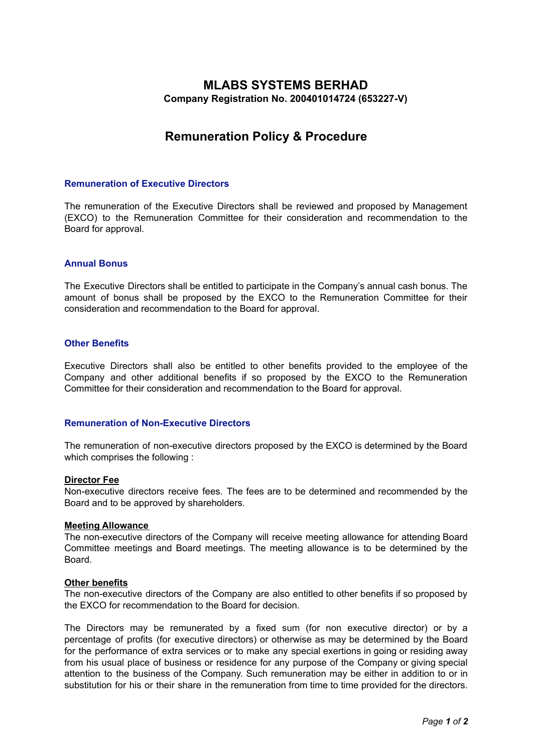# **MLABS SYSTEMS BERHAD Company Registration No. 200401014724 (653227-V)**

# **Remuneration Policy & Procedure**

# **Remuneration of Executive Directors**

The remuneration of the Executive Directors shall be reviewed and proposed by Management (EXCO) to the Remuneration Committee for their consideration and recommendation to the Board for approval.

# **Annual Bonus**

The Executive Directors shall be entitled to participate in the Company's annual cash bonus. The amount of bonus shall be proposed by the EXCO to the Remuneration Committee for their consideration and recommendation to the Board for approval.

#### **Other Benefits**

Executive Directors shall also be entitled to other benefits provided to the employee of the Company and other additional benefits if so proposed by the EXCO to the Remuneration Committee for their consideration and recommendation to the Board for approval.

# **Remuneration of Non-Executive Directors**

The remuneration of non-executive directors proposed by the EXCO is determined by the Board which comprises the following :

#### **Director Fee**

Non-executive directors receive fees. The fees are to be determined and recommended by the Board and to be approved by shareholders.

#### **Meeting Allowance**

The non-executive directors of the Company will receive meeting allowance for attending Board Committee meetings and Board meetings. The meeting allowance is to be determined by the Board.

#### **Other benefits**

The non-executive directors of the Company are also entitled to other benefits if so proposed by the EXCO for recommendation to the Board for decision.

The Directors may be remunerated by a fixed sum (for non executive director) or by a percentage of profits (for executive directors) or otherwise as may be determined by the Board for the performance of extra services or to make any special exertions in going or residing away from his usual place of business or residence for any purpose of the Company or giving special attention to the business of the Company. Such remuneration may be either in addition to or in substitution for his or their share in the remuneration from time to time provided for the directors.